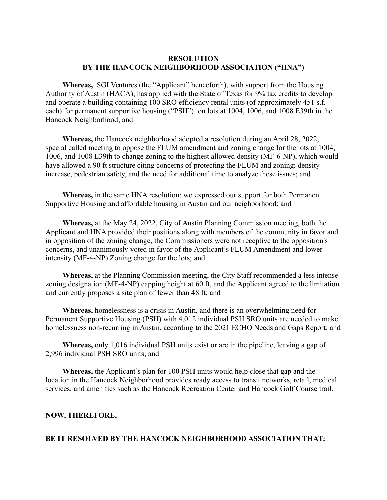### **RESOLUTION BY THE HANCOCK NEIGHBORHOOD ASSOCIATION ("HNA")**

**Whereas,** SGI Ventures (the "Applicant" henceforth), with support from the Housing Authority of Austin (HACA), has applied with the State of Texas for 9% tax credits to develop and operate a building containing 100 SRO efficiency rental units (of approximately 451 s.f. each) for permanent supportive housing ("PSH") on lots at 1004, 1006, and 1008 E39th in the Hancock Neighborhood; and

 **Whereas,** the Hancock neighborhood adopted a resolution during an April 28, 2022, special called meeting to oppose the FLUM amendment and zoning change for the lots at 1004, 1006, and 1008 E39th to change zoning to the highest allowed density (MF-6-NP), which would have allowed a 90 ft structure citing concerns of protecting the FLUM and zoning; density increase, pedestrian safety, and the need for additional time to analyze these issues; and

**Whereas,** in the same HNA resolution; we expressed our support for both Permanent Supportive Housing and affordable housing in Austin and our neighborhood; and

**Whereas,** at the May 24, 2022, City of Austin Planning Commission meeting, both the Applicant and HNA provided their positions along with members of the community in favor and in opposition of the zoning change, the Commissioners were not receptive to the opposition's concerns, and unanimously voted in favor of the Applicant's FLUM Amendment and lowerintensity (MF-4-NP) Zoning change for the lots; and

**Whereas,** at the Planning Commission meeting, the City Staff recommended a less intense zoning designation (MF-4-NP) capping height at 60 ft, and the Applicant agreed to the limitation and currently proposes a site plan of fewer than 48 ft; and

**Whereas,** homelessness is a crisis in Austin, and there is an overwhelming need for Permanent Supportive Housing (PSH) with 4,012 individual PSH SRO units are needed to make homelessness non-recurring in Austin, according to the 2021 ECHO Needs and Gaps Report; and

**Whereas,** only 1,016 individual PSH units exist or are in the pipeline, leaving a gap of 2,996 individual PSH SRO units; and

**Whereas,** the Applicant's plan for 100 PSH units would help close that gap and the location in the Hancock Neighborhood provides ready access to transit networks, retail, medical services, and amenities such as the Hancock Recreation Center and Hancock Golf Course trail.

#### **NOW, THEREFORE,**

#### **BE IT RESOLVED BY THE HANCOCK NEIGHBORHOOD ASSOCIATION THAT:**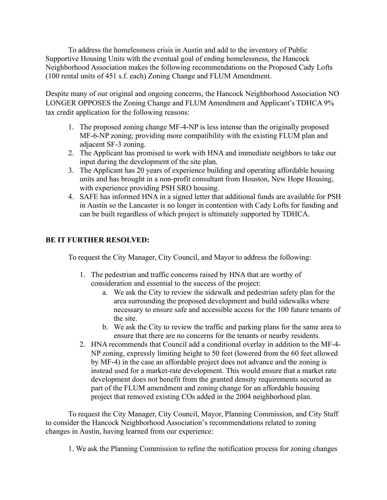To address the homelessness crisis in Austin and add to the inventory of Public Supportive Housing Units with the eventual goal of ending homelessness, the Hancock Neighborhood Association makes the following recommendations on the Proposed Cady Lofts (100 rental units of 451 s.f. each) Zoning Change and FLUM Amendment.

Despite many of our original and ongoing concerns, the Hancock Neighborhood Association NO LONGER OPPOSES the Zoning Change and FLUM Amendment and Applicant's TDHCA 9% tax credit application for the following reasons:

- 1. The proposed zoning change MF-4-NP is less intense than the originally proposed MF-6-NP zoning; providing more compatibility with the existing FLUM plan and adjacent SF-3 zoning.
- 2. The Applicant has promised to work with HNA and immediate neighbors to take our input during the development of the site plan.
- 3. The Applicant has 20 years of experience building and operating affordable housing units and has brought in a non-profit consultant from Houston, New Hope Housing, with experience providing PSH SRO housing.
- 4. SAFE has informed HNA in a signed letter that additional funds are available for PSH in Austin so the Lancaster is no longer in contention with Cady Lofts for funding and can be built regardless of which project is ultimately supported by TDHCA.

# **BE IT FURTHER RESOLVED:**

To request the City Manager, City Council, and Mayor to address the following:

- 1. The pedestrian and traffic concerns raised by HNA that are worthy of consideration and essential to the success of the project:
	- a. We ask the City to review the sidewalk and pedestrian safety plan for the area surrounding the proposed development and build sidewalks where necessary to ensure safe and accessible access for the 100 future tenants of the site.
	- b. We ask the City to review the traffic and parking plans for the same area to ensure that there are no concerns for the tenants or nearby residents.
- 2. HNA recommends that Council add a conditional overlay in addition to the MF-4- NP zoning, expressly limiting height to 50 feet (lowered from the 60 feet allowed by MF-4) in the case an affordable project does not advance and the zoning is instead used for a market-rate development. This would ensure that a market rate development does not benefit from the granted density requirements secured as part of the FLUM amendment and zoning change for an affordable housing project that removed existing COs added in the 2004 neighborhood plan.

To request the City Manager, City Council, Mayor, Planning Commission, and City Staff to consider the Hancock Neighborhood Association's recommendations related to zoning changes in Austin, having learned from our experience:

1. We ask the Planning Commission to refine the notification process for zoning changes